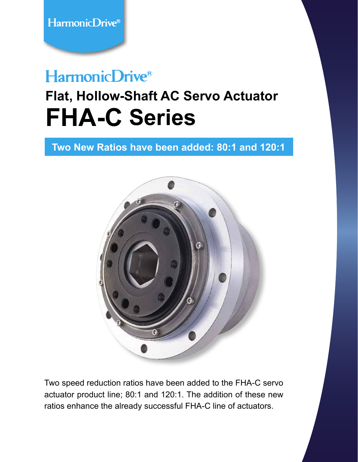## HarmonicDrive®

# **Flat, Hollow-Shaft AC Servo Actuator FHA-C Series**

**Two New Ratios have been added: 80:1 and 120:1**



Two speed reduction ratios have been added to the FHA-C servo actuator product line; 80:1 and 120:1. The addition of these new ratios enhance the already successful FHA-C line of actuators.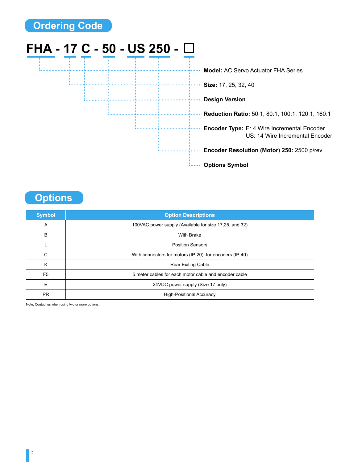

**Options**

| <b>Symbol</b>  | <b>Option Descriptions</b>                               |  |  |  |  |
|----------------|----------------------------------------------------------|--|--|--|--|
| A              | 100VAC power supply (Available for size 17,25, and 32)   |  |  |  |  |
| B              | <b>With Brake</b>                                        |  |  |  |  |
|                | <b>Position Sensors</b>                                  |  |  |  |  |
| C              | With connectors for motors (IP-20), for encoders (IP-40) |  |  |  |  |
| K              | <b>Rear Exiting Cable</b>                                |  |  |  |  |
| F <sub>5</sub> | 5 meter cables for each motor cable and encoder cable    |  |  |  |  |
| F              | 24VDC power supply (Size 17 only)                        |  |  |  |  |
| <b>PR</b>      | <b>High-Positional Accuracy</b>                          |  |  |  |  |

Note: Contact us when using two or more options.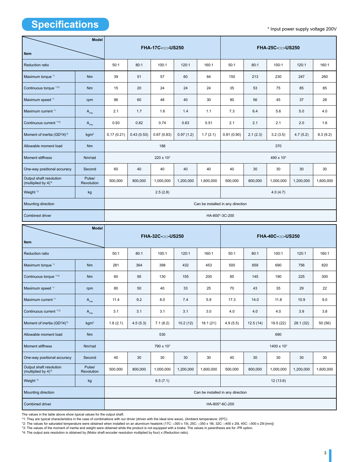### **Specifications**

\* Input power supply voltage 200V

| <b>Model</b>                                               |                      | FHA-17C-□□-US250                  |            |                       |           | FHA-25C-□□-US250 |                       |          |           |           |           |
|------------------------------------------------------------|----------------------|-----------------------------------|------------|-----------------------|-----------|------------------|-----------------------|----------|-----------|-----------|-----------|
| Item                                                       |                      |                                   |            |                       |           |                  |                       |          |           |           |           |
| <b>Reduction ratio</b>                                     |                      | 50:1                              | 80:1       | 100:1                 | 120:1     | 160:1            | 50:1                  | 80:1     | 100:1     | 120:1     | 160:1     |
| Maximum torque *1                                          | <b>Nm</b>            | 39                                | 51         | 57                    | 60        | 64               | 150                   | 213      | 230       | 247       | 260       |
| Continuous torque *1*2                                     | <b>Nm</b>            | 15                                | 20         | 24                    | 24        | 24               | 35                    | 53       | 75        | 85        | 85        |
| Maximum speed *1                                           | rpm                  | 96                                | 60         | 48                    | 40        | 30               | 90                    | 56       | 45        | 37        | 28        |
| Maximum current *1                                         | $A_{\rm rms}$        | 2.1                               | 1.7        | 1.6                   | 1.4       | 1.1              | 7.3                   | 6.4      | 5.6       | 5.0       | 4.0       |
| Continuous current *1*2                                    | $A_{\rm rms}$        | 0.93                              | 0.82       | 0.74                  | 0.63      | 0.51             | 2.1                   | 2.1      | 2.1       | 2.0       | 1.6       |
| Moment of inertia (GD <sup>2</sup> /4) <sup>*3</sup>       | kgm <sup>2</sup>     | 0.17(0.21)                        | 0.43(0.53) | 0.67(0.83)            | 0.97(1.2) | 1.7(2.1)         | 0.81(0.90)            | 2.1(2.3) | 3.2(3.5)  | 4.7(5.2)  | 8.3(9.2)  |
| Allowable moment load                                      | <b>Nm</b>            |                                   |            | 188                   |           |                  | 370                   |          |           |           |           |
| <b>Moment stiffness</b>                                    | Nm/rad               |                                   |            | 220 x 10 <sup>3</sup> |           |                  | 490 x 10 <sup>3</sup> |          |           |           |           |
| One-way positional accuracy                                | Second               | 60                                | 40         | 40                    | 40        | 40               | 40                    | 30       | 30        | 30        | 30        |
| Output shaft resolution<br>(multiplied by 4) <sup>*4</sup> | Pulse/<br>Revolution | 500,000                           | 800,000    | 1,000,000             | 1,200,000 | 1,600,000        | 500,000               | 800,000  | 1,000,000 | 1,200,000 | 1,600,000 |
| Weight <sup>*3</sup>                                       | kg                   |                                   |            | 2.5(2.8)              |           |                  |                       |          | 4.0(4.7)  |           |           |
| Mounting direction                                         |                      | Can be installed in any direction |            |                       |           |                  |                       |          |           |           |           |
| Combined driver                                            |                      | HA-800*-3C-200                    |            |                       |           |                  |                       |          |           |           |           |
| <b>Model</b>                                               |                      |                                   |            |                       |           |                  |                       |          |           |           |           |
| Item                                                       |                      | FHA-32C-□□-US250                  |            |                       |           | FHA-40C-□□-US250 |                       |          |           |           |           |
| Reduction ratio                                            |                      | 50:1                              | 80:1       | 100:1                 | 120:1     | 160:1            | 50:1                  | 80:1     | 100:1     | 120:1     | 160:1     |
| Maximum torque *1                                          | <b>Nm</b>            | 281                               | 364        | 398                   | 432       | 453              | 500                   | 659      | 690       | 756       | 820       |
| Continuous torque '1'2                                     | <b>Nm</b>            | 60                                | 95         | 130                   | 155       | 200              | 85                    | 145      | 190       | 225       | 300       |
| Maximum speed *1                                           | rpm                  | 80                                | 50         | 40                    | 33        | 25               | 70                    | 43       | 35        | 29        | 22        |
| Maximum current *1                                         | $A_{\rm rms}$        | 11.4                              | 9.2        | 8.0                   | 7.4       | 5.9              | 17.3                  | 14.0     | 11.8      | 10.9      | 9.0       |
| Continuous current "1"2                                    | $A_{\rm rms}$        | 3.1                               | 3.1        | 3.1                   | 3.1       | 3.0              | 4.0                   | 4.0      | 4.0       | 3.9       | 3.8       |
| Moment of inertia (GD <sup>2</sup> /4) <sup>3</sup>        | kgm <sup>2</sup>     | 1.8(2.1)                          | 4.5(5.3)   | 7.1(8.2)              | 10.2(12)  | 18.1(21)         | 4.9(5.5)              | 12.5(14) | 19.5 (22) | 28.1 (32) | 50 (56)   |

 $\frac{1}{\sqrt{1000}}$   $\left| \frac{500,000}{1,000,000} \right|$  1,000,000 1,200,000 1,600,000 1,600,000 500,000 1,000,000 1,000,000 1,600,000 1,600,000 1,600,000 1,600,000 1,600,000 1,600,000 1,600,000 1,600,000 1,600,000 1,600,000 1,600,0

The values in the table above show typical values for the output shaft.

Pulse/<br>Revolution

Output shaft resolution (multiplied by 4)\*4

\*1: They are typical characteristics in the case of combinations with our driver (driven with the ideal sine wave). (Ambient temperature: 25ºC)

Combined driver HA-800\*-6C-200

\*2: The values for saturated temperature were obtained when installed on an aluminum heatsink (17C: □300 x 15t, 25C: □350 x 18t, 32C: □400 x 20t, 40C: □500 x 25t [mm])

Allowable moment load **Nm 530** 690 690

Moment stiffness **Nm/rad** Nm/rad 790 x 10<sup>3</sup> 790 x 10<sup>3</sup> 1400 x 10<sup>3</sup> 1400 x 10<sup>3</sup>

Weight \*3 kg 6.5 (7.1) 12 (13.6)

One-way positional accuracy Second 40 30 30 30 30 40 30 30 30 30

\*3: The values of the moment of inertia and weight were obtained while the product is not equipped with a brake. The values in parenthesis are for -PR option.

Mounting direction **Can be installed in any direction** Can be installed in any direction

\*4: The output axis resolution is obtained by (Motor shaft encoder resolution multiplied by four) x (Reduction ratio).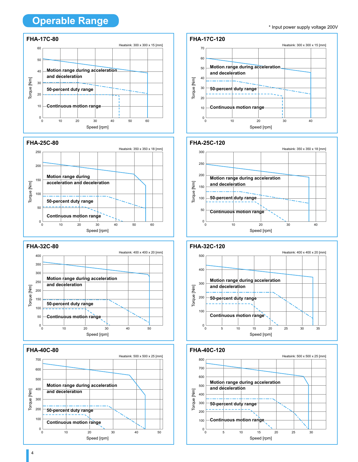### **Operable Range**

#### **FHA-17C-80** Heatsink: 300 x 300 x 15 [mm] 60 50 **Motion range during acceleration**  40 **and deceleration** Torque [Nm] Torque [Nm] **50-percent duty range 1.1 and 2.0 and 2.0 and 2.0 and 2.0 and 2.0 and 2.0 and 2.0 and 2.0 and 2.0 and 2.0 and 2.0 and 2.0 and 2.0 and 2.0 and 2.0 and 2.0 and 2.0 and 2.0 and 2.0 and 2.0 and 2.0 and 2.0 and 2.0 and 2.0 a** 30 20  $10$ **Continuous motion range Continuous motion range**  $0\frac{1}{0}$ 0 10 20 30 40 50 60







#### \* Input power supply voltage 200V



#### **FHA-25C-120**





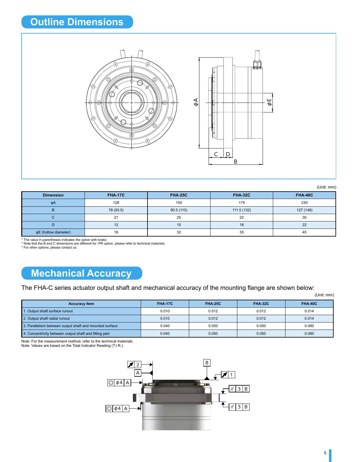

(Unit: mm)

| <b>Dimension</b>     | <b>FHA-17C</b> | <b>FHA-25C</b> | <b>FHA-32C</b> | <b>FHA-40C</b> |
|----------------------|----------------|----------------|----------------|----------------|
| φA                   | 128            | 155            | 175            | 230            |
| в                    | 78 (93.5)      | 90.5(110)      | 111.5 (132)    | 127 (148)      |
|                      | 21             | 25             | 22             | 30             |
|                      | 12             | 15             | 18             | 22             |
| φE (hollow diameter) | 18             | 32             | 35             | 45             |

\* The value in parentheses indicates the option with brake.<br>\* Note that the B and C dimensions are different for -PR option, please refer to technical materials.<br>\* For other options, please contact us.

### **Mechanical Accuracy**

The FHA-C series actuator output shaft and mechanical accuracy of the mounting flange are shown below:

(Unit: mm)

| <b>Accuracy Item</b>                                    | <b>FHA-17C</b> | <b>FHA-25C</b> | <b>FHA-32C</b> | FHA-40C |
|---------------------------------------------------------|----------------|----------------|----------------|---------|
| 1. Output shaft surface runout                          | 0.010          | 0.012          | 0.012          | 0.014   |
| 2. Output shaft radial runout                           | 0.010          | 0.012          | 0.012          | 0.014   |
| 3. Parallelism between output shaft and mounted surface | 0.040          | 0.050          | 0.050          | 0.060   |
| 4. Concentricity between output shaft and fitting part  | 0.040          | 0.050          | 0.050          | 0.060   |

Note: For the measurement method, refer to the technical materials. Note: Values are based on the Total Indicator Reading (T.I.R.).

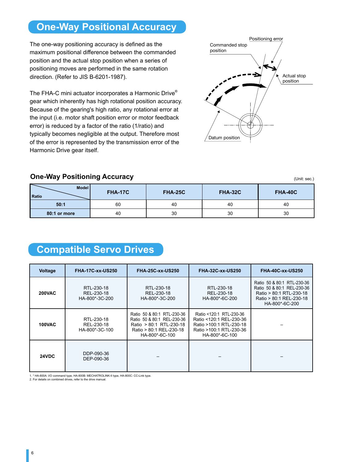### **One-Way Positional Accuracy**

The one-way positioning accuracy is defined as the maximum positional difference between the commanded position and the actual stop position when a series of positioning moves are performed in the same rotation direction. (Refer to JIS B-6201-1987).

The FHA-C mini actuator incorporates a Harmonic Drive® gear which inherently has high rotational position accuracy. Because of the gearing's high ratio, any rotational error at the input (i.e. motor shaft position error or motor feedback error) is reduced by a factor of the ratio (1/ratio) and typically becomes negligible at the output. Therefore most of the error is represented by the transmission error of the Harmonic Drive gear itself.



#### **One-Way Positioning Accuracy**

(Unit: sec.)

| 7<br>Model<br><b>Ratio</b> | <b>FHA-17C</b> | <b>FHA-25C</b> | <b>FHA-32C</b> | <b>FHA-40C</b> |
|----------------------------|----------------|----------------|----------------|----------------|
| 50:1                       | 60             | 40             | 40             | 40             |
| 80:1 or more               | 40             | 30             | 30             | 30             |

### **Compatible Servo Drives**

| Voltage       | <b>FHA-17C-xx-US250</b>                    | <b>FHA-25C-xx-US250</b>                                                                                                          | <b>FHA-32C-xx-US250</b>                                                                                                    | <b>FHA-40C-xx-US250</b>                                                                                                          |
|---------------|--------------------------------------------|----------------------------------------------------------------------------------------------------------------------------------|----------------------------------------------------------------------------------------------------------------------------|----------------------------------------------------------------------------------------------------------------------------------|
| <b>200VAC</b> | RTL-230-18<br>REL-230-18<br>HA-800*-3C-200 | RTL-230-18<br>REL-230-18<br>HA-800*-3C-200                                                                                       | RTL-230-18<br>REL-230-18<br>HA-800*-6C-200                                                                                 | Ratio 50 & 80:1 RTL-230-36<br>Ratio 50 & 80:1 REL-230-36<br>Ratio > 80:1 RTL-230-18<br>Ratio > 80:1 REL-230-18<br>HA-800*-6C-200 |
| <b>100VAC</b> | RTL-230-18<br>REL-230-18<br>HA-800*-3C-100 | Ratio 50 & 80:1 RTL-230-36<br>Ratio 50 & 80:1 REL-230-36<br>Ratio > 80:1 RTL-230-18<br>Ratio > 80:1 REL-230-18<br>HA-800*-6C-100 | Ratio <120:1 RTL-230-36<br>Ratio <120:1 REL-230-36<br>Ratio >100:1 RTL-230-18<br>Ratio >100:1 RTL-230-36<br>HA-800*-6C-100 |                                                                                                                                  |
| 24VDC         | DDP-090-36<br>DEP-090-36                   |                                                                                                                                  |                                                                                                                            |                                                                                                                                  |

1. \* HA-800A: I/O command type, HA-800B: MECHATROLINK-II type, HA-800C: CC-Link type.

2. For details on combined drives, refer to the drive manual.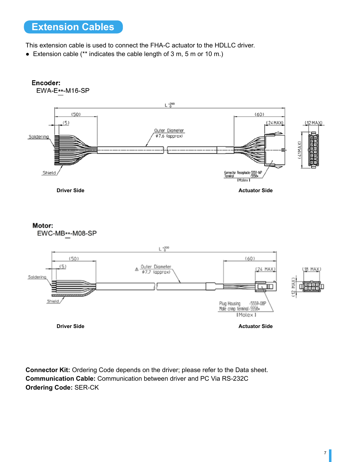### **Extension Cables**

This extension cable is used to connect the FHA-C actuator to the HDLLC driver.

● Extension cable (\*\* indicates the cable length of 3 m, 5 m or 10 m.)



**Connector Kit:** Ordering Code depends on the driver; please refer to the Data sheet. **Communication Cable:** Communication between driver and PC Via RS-232C **Ordering Code:** SER-CK